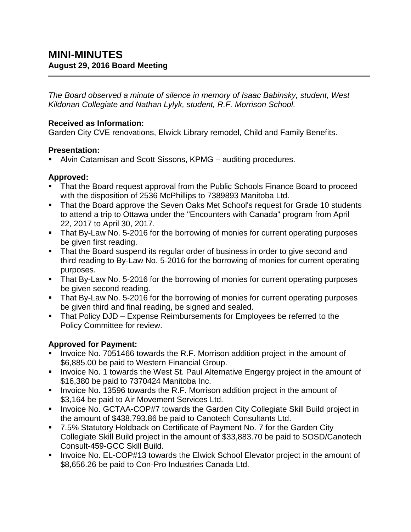*The Board observed a minute of silence in memory of Isaac Babinsky, student, West Kildonan Collegiate and Nathan Lylyk, student, R.F. Morrison School.*

#### **Received as Information:**

Garden City CVE renovations, Elwick Library remodel, Child and Family Benefits.

### **Presentation:**

Alvin Catamisan and Scott Sissons, KPMG – auditing procedures.

# **Approved:**

- That the Board request approval from the Public Schools Finance Board to proceed with the disposition of 2536 McPhillips to 7389893 Manitoba Ltd.
- That the Board approve the Seven Oaks Met School's request for Grade 10 students to attend a trip to Ottawa under the "Encounters with Canada" program from April 22, 2017 to April 30, 2017.
- That By-Law No. 5-2016 for the borrowing of monies for current operating purposes be given first reading.
- That the Board suspend its regular order of business in order to give second and third reading to By-Law No. 5-2016 for the borrowing of monies for current operating purposes.
- That By-Law No. 5-2016 for the borrowing of monies for current operating purposes be given second reading.
- That By-Law No. 5-2016 for the borrowing of monies for current operating purposes be given third and final reading, be signed and sealed.
- That Policy DJD Expense Reimbursements for Employees be referred to the Policy Committee for review.

# **Approved for Payment:**

- Invoice No. 7051466 towards the R.F. Morrison addition project in the amount of \$6,885.00 be paid to Western Financial Group.
- **Invoice No. 1 towards the West St. Paul Alternative Engergy project in the amount of** \$16,380 be paid to 7370424 Manitoba Inc.
- **IDED** Invoice No. 13596 towards the R.F. Morrison addition project in the amount of \$3,164 be paid to Air Movement Services Ltd.
- **Invoice No. GCTAA-COP#7 towards the Garden City Collegiate Skill Build project in** the amount of \$438,793.86 be paid to Canotech Consultants Ltd.
- 7.5% Statutory Holdback on Certificate of Payment No. 7 for the Garden City Collegiate Skill Build project in the amount of \$33,883.70 be paid to SOSD/Canotech Consult-459-GCC Skill Build.
- **IDED** Invoice No. EL-COP#13 towards the Elwick School Elevator project in the amount of \$8,656.26 be paid to Con-Pro Industries Canada Ltd.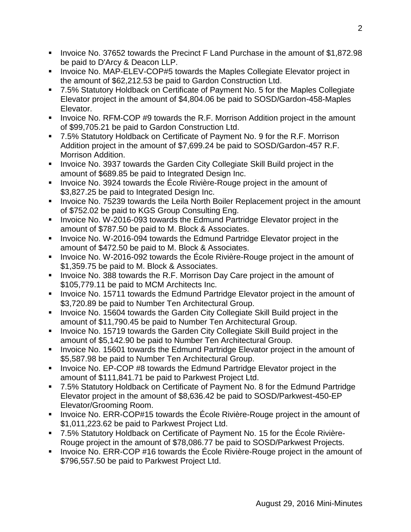- Invoice No. 37652 towards the Precinct F Land Purchase in the amount of \$1,872.98 be paid to D'Arcy & Deacon LLP.
- **IDED** Invoice No. MAP-ELEV-COP#5 towards the Maples Collegiate Elevator project in the amount of \$62,212.53 be paid to Gardon Construction Ltd.
- 7.5% Statutory Holdback on Certificate of Payment No. 5 for the Maples Collegiate Elevator project in the amount of \$4,804.06 be paid to SOSD/Gardon-458-Maples Elevator.
- Invoice No. RFM-COP #9 towards the R.F. Morrison Addition project in the amount of \$99,705.21 be paid to Gardon Construction Ltd.
- 7.5% Statutory Holdback on Certificate of Payment No. 9 for the R.F. Morrison Addition project in the amount of \$7,699.24 be paid to SOSD/Gardon-457 R.F. Morrison Addition.
- **Invoice No. 3937 towards the Garden City Collegiate Skill Build project in the** amount of \$689.85 be paid to Integrated Design Inc.
- Invoice No. 3924 towards the École Rivière-Rouge project in the amount of \$3,827.25 be paid to Integrated Design Inc.
- **IDED** Invoice No. 75239 towards the Leila North Boiler Replacement project in the amount of \$752.02 be paid to KGS Group Consulting Eng.
- Invoice No. W-2016-093 towards the Edmund Partridge Elevator project in the amount of \$787.50 be paid to M. Block & Associates.
- Invoice No. W-2016-094 towards the Edmund Partridge Elevator project in the amount of \$472.50 be paid to M. Block & Associates.
- Invoice No. W-2016-092 towards the École Rivière-Rouge project in the amount of \$1,359.75 be paid to M. Block & Associates.
- **Invoice No. 388 towards the R.F. Morrison Day Care project in the amount of** \$105,779.11 be paid to MCM Architects Inc.
- Invoice No. 15711 towards the Edmund Partridge Elevator project in the amount of \$3,720.89 be paid to Number Ten Architectural Group.
- Invoice No. 15604 towards the Garden City Collegiate Skill Build project in the amount of \$11,790.45 be paid to Number Ten Architectural Group.
- **Invoice No. 15719 towards the Garden City Collegiate Skill Build project in the** amount of \$5,142.90 be paid to Number Ten Architectural Group.
- Invoice No. 15601 towards the Edmund Partridge Elevator project in the amount of \$5,587.98 be paid to Number Ten Architectural Group.
- Invoice No. EP-COP #8 towards the Edmund Partridge Elevator project in the amount of \$111,841.71 be paid to Parkwest Project Ltd.
- 7.5% Statutory Holdback on Certificate of Payment No. 8 for the Edmund Partridge Elevator project in the amount of \$8,636.42 be paid to SOSD/Parkwest-450-EP Elevator/Grooming Room.
- Invoice No. ERR-COP#15 towards the École Rivière-Rouge project in the amount of \$1,011,223.62 be paid to Parkwest Project Ltd.
- 7.5% Statutory Holdback on Certificate of Payment No. 15 for the École Rivière-Rouge project in the amount of \$78,086.77 be paid to SOSD/Parkwest Projects.
- Invoice No. ERR-COP #16 towards the École Rivière-Rouge project in the amount of \$796,557.50 be paid to Parkwest Project Ltd.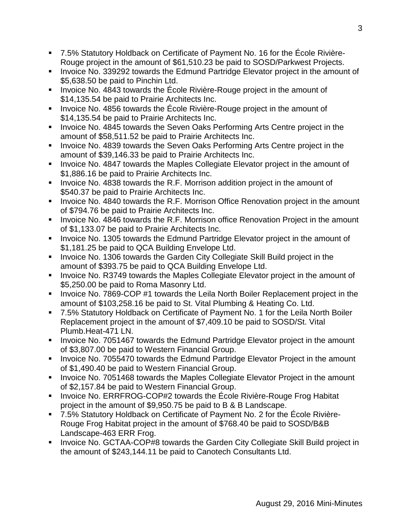- 7.5% Statutory Holdback on Certificate of Payment No. 16 for the École Rivière-Rouge project in the amount of \$61,510.23 be paid to SOSD/Parkwest Projects.
- Invoice No. 339292 towards the Edmund Partridge Elevator project in the amount of \$5,638.50 be paid to Pinchin Ltd.
- Invoice No. 4843 towards the École Rivière-Rouge project in the amount of \$14,135.54 be paid to Prairie Architects Inc.
- Invoice No. 4856 towards the École Rivière-Rouge project in the amount of \$14,135.54 be paid to Prairie Architects Inc.
- **IDED** Invoice No. 4845 towards the Seven Oaks Performing Arts Centre project in the amount of \$58,511.52 be paid to Prairie Architects Inc.
- Invoice No. 4839 towards the Seven Oaks Performing Arts Centre project in the amount of \$39,146.33 be paid to Prairie Architects Inc.
- **Invoice No. 4847 towards the Maples Collegiate Elevator project in the amount of** \$1,886.16 be paid to Prairie Architects Inc.
- **IDED** Invoice No. 4838 towards the R.F. Morrison addition project in the amount of \$540.37 be paid to Prairie Architects Inc.
- **IDED** Invoice No. 4840 towards the R.F. Morrison Office Renovation project in the amount of \$794.76 be paid to Prairie Architects Inc.
- **IDED** Invoice No. 4846 towards the R.F. Morrison office Renovation Project in the amount of \$1,133.07 be paid to Prairie Architects Inc.
- **Invoice No. 1305 towards the Edmund Partridge Elevator project in the amount of** \$1,181.25 be paid to QCA Building Envelope Ltd.
- Invoice No. 1306 towards the Garden City Collegiate Skill Build project in the amount of \$393.75 be paid to QCA Building Envelope Ltd.
- **Invoice No. R3749 towards the Maples Collegiate Elevator project in the amount of** \$5,250.00 be paid to Roma Masonry Ltd.
- Invoice No. 7869-COP #1 towards the Leila North Boiler Replacement project in the amount of \$103,258.16 be paid to St. Vital Plumbing & Heating Co. Ltd.
- 7.5% Statutory Holdback on Certificate of Payment No. 1 for the Leila North Boiler Replacement project in the amount of \$7,409.10 be paid to SOSD/St. Vital Plumb.Heat-471 LN.
- **IDED** Invoice No. 7051467 towards the Edmund Partridge Elevator project in the amount of \$3,807.00 be paid to Western Financial Group.
- **IDED** Invoice No. 7055470 towards the Edmund Partridge Elevator Project in the amount of \$1,490.40 be paid to Western Financial Group.
- **IDED** Invoice No. 7051468 towards the Maples Collegiate Elevator Project in the amount of \$2,157.84 be paid to Western Financial Group.
- Invoice No. ERRFROG-COP#2 towards the École Rivière-Rouge Frog Habitat project in the amount of \$9,950.75 be paid to B & B Landscape.
- 7.5% Statutory Holdback on Certificate of Payment No. 2 for the École Rivière-Rouge Frog Habitat project in the amount of \$768.40 be paid to SOSD/B&B Landscape-463 ERR Frog.
- **IDED** Invoice No. GCTAA-COP#8 towards the Garden City Collegiate Skill Build project in the amount of \$243,144.11 be paid to Canotech Consultants Ltd.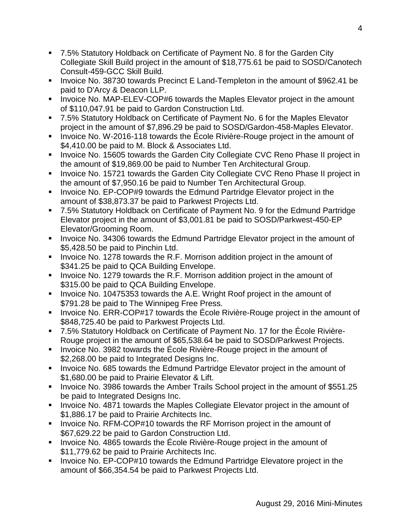- 7.5% Statutory Holdback on Certificate of Payment No. 8 for the Garden City Collegiate Skill Build project in the amount of \$18,775.61 be paid to SOSD/Canotech Consult-459-GCC Skill Build.
- **IDED** 10. 38730 towards Precinct E Land-Templeton in the amount of \$962.41 be paid to D'Arcy & Deacon LLP.
- **Invoice No. MAP-ELEV-COP#6 towards the Maples Elevator project in the amount** of \$110,047.91 be paid to Gardon Construction Ltd.
- 7.5% Statutory Holdback on Certificate of Payment No. 6 for the Maples Elevator project in the amount of \$7,896.29 be paid to SOSD/Gardon-458-Maples Elevator.
- Invoice No. W-2016-118 towards the École Rivière-Rouge project in the amount of \$4,410.00 be paid to M. Block & Associates Ltd.
- **Invoice No. 15605 towards the Garden City Collegiate CVC Reno Phase II project in** the amount of \$19,869.00 be paid to Number Ten Architectural Group.
- **Invoice No. 15721 towards the Garden City Collegiate CVC Reno Phase II project in** the amount of \$7,950.16 be paid to Number Ten Architectural Group.
- **Invoice No. EP-COP#9 towards the Edmund Partridge Elevator project in the** amount of \$38,873.37 be paid to Parkwest Projects Ltd.
- 7.5% Statutory Holdback on Certificate of Payment No. 9 for the Edmund Partridge Elevator project in the amount of \$3,001.81 be paid to SOSD/Parkwest-450-EP Elevator/Grooming Room.
- **Invoice No. 34306 towards the Edmund Partridge Elevator project in the amount of** \$5,428.50 be paid to Pinchin Ltd.
- Invoice No. 1278 towards the R.F. Morrison addition project in the amount of \$341.25 be paid to QCA Building Envelope.
- **IDED** Invoice No. 1279 towards the R.F. Morrison addition project in the amount of \$315.00 be paid to QCA Building Envelope.
- Invoice No. 10475353 towards the A.E. Wright Roof project in the amount of \$791.28 be paid to The Winnipeg Free Press.
- Invoice No. ERR-COP#17 towards the École Rivière-Rouge project in the amount of \$848,725.40 be paid to Parkwest Projects Ltd.
- 7.5% Statutory Holdback on Certificate of Payment No. 17 for the École Rivière-Rouge project in the amount of \$65,538.64 be paid to SOSD/Parkwest Projects.
- **IDED** Invoice No. 3982 towards the Ecole Rivière-Rouge project in the amount of \$2,268.00 be paid to Integrated Designs Inc.
- **Invoice No. 685 towards the Edmund Partridge Elevator project in the amount of** \$1,680.00 be paid to Prairie Elevator & Lift.
- **Invoice No. 3986 towards the Amber Trails School project in the amount of \$551.25** be paid to Integrated Designs Inc.
- **Invoice No. 4871 towards the Maples Collegiate Elevator project in the amount of** \$1,886.17 be paid to Prairie Architects Inc.
- **IDED** Invoice No. RFM-COP#10 towards the RF Morrison project in the amount of \$67,629.22 be paid to Gardon Construction Ltd.
- Invoice No. 4865 towards the École Rivière-Rouge project in the amount of \$11,779.62 be paid to Prairie Architects Inc.
- Invoice No. EP-COP#10 towards the Edmund Partridge Elevatore project in the amount of \$66,354.54 be paid to Parkwest Projects Ltd.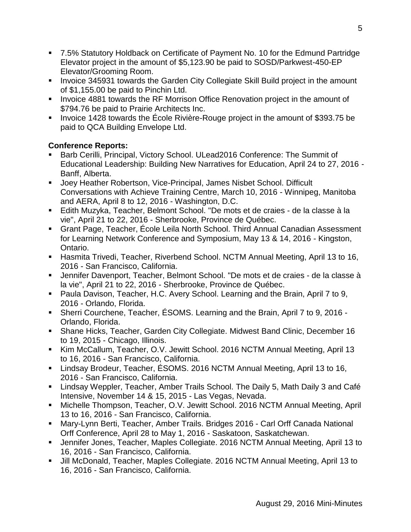- 7.5% Statutory Holdback on Certificate of Payment No. 10 for the Edmund Partridge Elevator project in the amount of \$5,123.90 be paid to SOSD/Parkwest-450-EP Elevator/Grooming Room.
- **IDED** Invoice 345931 towards the Garden City Collegiate Skill Build project in the amount of \$1,155.00 be paid to Pinchin Ltd.
- **Invoice 4881 towards the RF Morrison Office Renovation project in the amount of** \$794.76 be paid to Prairie Architects Inc.
- Invoice 1428 towards the École Rivière-Rouge project in the amount of \$393.75 be paid to QCA Building Envelope Ltd.

### **Conference Reports:**

- Barb Cerilli, Principal, Victory School. ULead2016 Conference: The Summit of Educational Leadership: Building New Narratives for Education, April 24 to 27, 2016 - Banff, Alberta.
- Joey Heather Robertson, Vice-Principal, James Nisbet School. Difficult Conversations with Achieve Training Centre, March 10, 2016 - Winnipeg, Manitoba and AERA, April 8 to 12, 2016 - Washington, D.C.
- Edith Muzyka, Teacher, Belmont School. "De mots et de craies de la classe à la vie", April 21 to 22, 2016 - Sherbrooke, Province de Québec.
- Grant Page, Teacher, École Leila North School. Third Annual Canadian Assessment for Learning Network Conference and Symposium, May 13 & 14, 2016 - Kingston, Ontario.
- Hasmita Trivedi, Teacher, Riverbend School. NCTM Annual Meeting, April 13 to 16, 2016 - San Francisco, California.
- Jennifer Davenport, Teacher, Belmont School. "De mots et de craies de la classe à la vie", April 21 to 22, 2016 - Sherbrooke, Province de Québec.
- **Paula Davison, Teacher, H.C. Avery School. Learning and the Brain, April 7 to 9,** 2016 - Orlando, Florida.
- Sherri Courchene, Teacher, ÉSOMS. Learning and the Brain, April 7 to 9, 2016 Orlando, Florida.
- Shane Hicks, Teacher, Garden City Collegiate. Midwest Band Clinic, December 16 to 19, 2015 - Chicago, Illinois.
- Kim McCallum, Teacher, O.V. Jewitt School. 2016 NCTM Annual Meeting, April 13 to 16, 2016 - San Francisco, California.
- Lindsay Brodeur, Teacher, ÉSOMS. 2016 NCTM Annual Meeting, April 13 to 16, 2016 - San Francisco, California.
- Lindsay Weppler, Teacher, Amber Trails School. The Daily 5, Math Daily 3 and Café Intensive, November 14 & 15, 2015 - Las Vegas, Nevada.
- Michelle Thompson, Teacher, O.V. Jewitt School. 2016 NCTM Annual Meeting, April 13 to 16, 2016 - San Francisco, California.
- Mary-Lynn Berti, Teacher, Amber Trails. Bridges 2016 Carl Orff Canada National Orff Conference, April 28 to May 1, 2016 - Saskatoon, Saskatchewan.
- Jennifer Jones, Teacher, Maples Collegiate. 2016 NCTM Annual Meeting, April 13 to 16, 2016 - San Francisco, California.
- Jill McDonald, Teacher, Maples Collegiate. 2016 NCTM Annual Meeting, April 13 to 16, 2016 - San Francisco, California.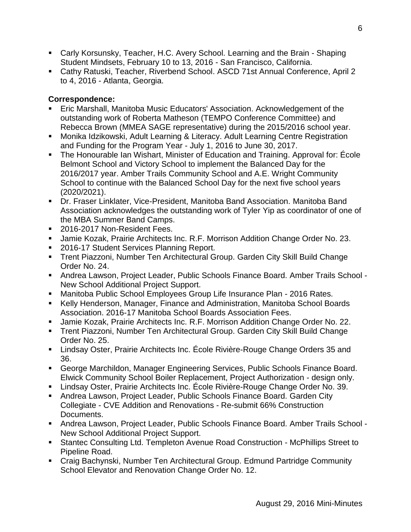- Carly Korsunsky, Teacher, H.C. Avery School. Learning and the Brain Shaping Student Mindsets, February 10 to 13, 2016 - San Francisco, California.
- Cathy Ratuski, Teacher, Riverbend School. ASCD 71st Annual Conference, April 2 to 4, 2016 - Atlanta, Georgia.

#### **Correspondence:**

- Eric Marshall, Manitoba Music Educators' Association. Acknowledgement of the outstanding work of Roberta Matheson (TEMPO Conference Committee) and Rebecca Brown (MMEA SAGE representative) during the 2015/2016 school year.
- **Monika Idzikowski, Adult Learning & Literacy. Adult Learning Centre Registration** and Funding for the Program Year - July 1, 2016 to June 30, 2017.
- The Honourable Ian Wishart, Minister of Education and Training. Approval for: École Belmont School and Victory School to implement the Balanced Day for the 2016/2017 year. Amber Trails Community School and A.E. Wright Community School to continue with the Balanced School Day for the next five school years (2020/2021).
- Dr. Fraser Linklater, Vice-President, Manitoba Band Association. Manitoba Band Association acknowledges the outstanding work of Tyler Yip as coordinator of one of the MBA Summer Band Camps.
- 2016-2017 Non-Resident Fees.
- Jamie Kozak, Prairie Architects Inc. R.F. Morrison Addition Change Order No. 23.
- 2016-17 Student Services Planning Report.
- Trent Piazzoni, Number Ten Architectural Group. Garden City Skill Build Change Order No. 24.
- Andrea Lawson, Project Leader, Public Schools Finance Board. Amber Trails School New School Additional Project Support.
- Manitoba Public School Employees Group Life Insurance Plan 2016 Rates.
- Kelly Henderson, Manager, Finance and Administration, Manitoba School Boards Association. 2016-17 Manitoba School Boards Association Fees.
- Jamie Kozak, Prairie Architects Inc. R.F. Morrison Addition Change Order No. 22.
- Trent Piazzoni, Number Ten Architectural Group. Garden City Skill Build Change Order No. 25.
- Lindsay Oster, Prairie Architects Inc. École Rivière-Rouge Change Orders 35 and 36.
- George Marchildon, Manager Engineering Services, Public Schools Finance Board. Elwick Community School Boiler Replacement, Project Authorization - design only.
- Lindsay Oster, Prairie Architects Inc. École Rivière-Rouge Change Order No. 39.
- Andrea Lawson, Project Leader, Public Schools Finance Board. Garden City Collegiate - CVE Addition and Renovations - Re-submit 66% Construction Documents.
- Andrea Lawson, Project Leader, Public Schools Finance Board. Amber Trails School New School Additional Project Support.
- Stantec Consulting Ltd. Templeton Avenue Road Construction McPhillips Street to Pipeline Road.
- Craig Bachynski, Number Ten Architectural Group. Edmund Partridge Community School Elevator and Renovation Change Order No. 12.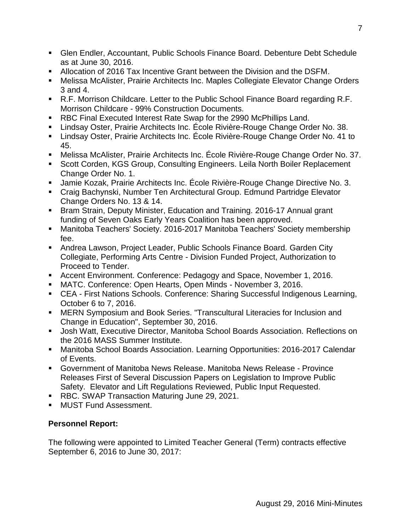- Glen Endler, Accountant, Public Schools Finance Board. Debenture Debt Schedule as at June 30, 2016.
- Allocation of 2016 Tax Incentive Grant between the Division and the DSFM.
- Melissa McAlister, Prairie Architects Inc. Maples Collegiate Elevator Change Orders 3 and 4.
- R.F. Morrison Childcare. Letter to the Public School Finance Board regarding R.F. Morrison Childcare - 99% Construction Documents.
- RBC Final Executed Interest Rate Swap for the 2990 McPhillips Land.
- Lindsay Oster, Prairie Architects Inc. École Rivière-Rouge Change Order No. 38.
- Lindsay Oster, Prairie Architects Inc. École Rivière-Rouge Change Order No. 41 to 45.
- Melissa McAlister, Prairie Architects Inc. École Rivière-Rouge Change Order No. 37.
- Scott Corden, KGS Group, Consulting Engineers. Leila North Boiler Replacement Change Order No. 1.
- Jamie Kozak, Prairie Architects Inc. École Rivière-Rouge Change Directive No. 3.
- Craig Bachynski, Number Ten Architectural Group. Edmund Partridge Elevator Change Orders No. 13 & 14.
- **Bram Strain, Deputy Minister, Education and Training. 2016-17 Annual grant** funding of Seven Oaks Early Years Coalition has been approved.
- Manitoba Teachers' Society. 2016-2017 Manitoba Teachers' Society membership fee.
- Andrea Lawson, Project Leader, Public Schools Finance Board. Garden City Collegiate, Performing Arts Centre - Division Funded Project, Authorization to Proceed to Tender.
- Accent Environment. Conference: Pedagogy and Space, November 1, 2016.
- MATC. Conference: Open Hearts, Open Minds November 3, 2016.
- CEA First Nations Schools. Conference: Sharing Successful Indigenous Learning, October 6 to 7, 2016.
- MERN Symposium and Book Series. "Transcultural Literacies for Inclusion and Change in Education", September 30, 2016.
- Josh Watt, Executive Director, Manitoba School Boards Association. Reflections on the 2016 MASS Summer Institute.
- Manitoba School Boards Association. Learning Opportunities: 2016-2017 Calendar of Events.
- Government of Manitoba News Release. Manitoba News Release Province Releases First of Several Discussion Papers on Legislation to Improve Public Safety. Elevator and Lift Regulations Reviewed, Public Input Requested.
- RBC. SWAP Transaction Maturing June 29, 2021.
- **MUST Fund Assessment.**

# **Personnel Report:**

The following were appointed to Limited Teacher General (Term) contracts effective September 6, 2016 to June 30, 2017: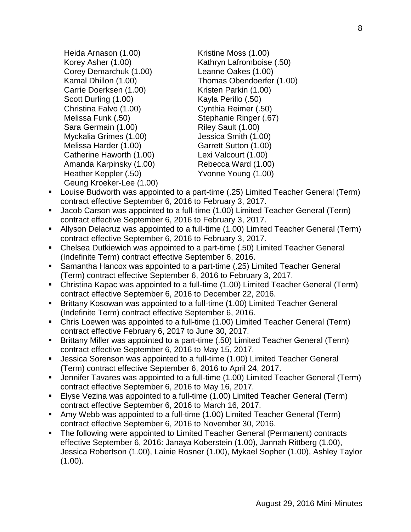- Heida Arnason (1.00) Korey Asher (1.00) Corey Demarchuk (1.00) Kamal Dhillon (1.00) Carrie Doerksen (1.00) Scott Durling (1.00) Christina Falvo (1.00) Melissa Funk (.50) Sara Germain (1.00) Myckalia Grimes (1.00) Melissa Harder (1.00) Catherine Haworth (1.00) Amanda Karpinsky (1.00) Heather Keppler (.50) Geung Kroeker-Lee (1.00) Kristine Moss (1.00) Kathryn Lafromboise (.50) Leanne Oakes (1.00) Thomas Obendoerfer (1.00) Kristen Parkin (1.00) Kayla Perillo (.50) Cynthia Reimer (.50) Stephanie Ringer (.67) Riley Sault (1.00) Jessica Smith (1.00) Garrett Sutton (1.00) Lexi Valcourt (1.00) Rebecca Ward (1.00) Yvonne Young (1.00)
- Louise Budworth was appointed to a part-time (.25) Limited Teacher General (Term) contract effective September 6, 2016 to February 3, 2017.
- Jacob Carson was appointed to a full-time (1.00) Limited Teacher General (Term) contract effective September 6, 2016 to February 3, 2017.
- Allyson Delacruz was appointed to a full-time (1.00) Limited Teacher General (Term) contract effective September 6, 2016 to February 3, 2017.
- Chelsea Dutkiewich was appointed to a part-time (.50) Limited Teacher General (Indefinite Term) contract effective September 6, 2016.
- Samantha Hancox was appointed to a part-time (.25) Limited Teacher General (Term) contract effective September 6, 2016 to February 3, 2017.
- Christina Kapac was appointed to a full-time (1.00) Limited Teacher General (Term) contract effective September 6, 2016 to December 22, 2016.
- Brittany Kosowan was appointed to a full-time (1.00) Limited Teacher General (Indefinite Term) contract effective September 6, 2016.
- Chris Loewen was appointed to a full-time (1.00) Limited Teacher General (Term) contract effective February 6, 2017 to June 30, 2017.
- Brittany Miller was appointed to a part-time (.50) Limited Teacher General (Term) contract effective September 6, 2016 to May 15, 2017.
- Jessica Sorenson was appointed to a full-time (1.00) Limited Teacher General (Term) contract effective September 6, 2016 to April 24, 2017.
- Jennifer Tavares was appointed to a full-time (1.00) Limited Teacher General (Term) contract effective September 6, 2016 to May 16, 2017.
- Elyse Vezina was appointed to a full-time (1.00) Limited Teacher General (Term) contract effective September 6, 2016 to March 16, 2017.
- Amy Webb was appointed to a full-time (1.00) Limited Teacher General (Term) contract effective September 6, 2016 to November 30, 2016.
- The following were appointed to Limited Teacher General (Permanent) contracts effective September 6, 2016: Janaya Koberstein (1.00), Jannah Rittberg (1.00), Jessica Robertson (1.00), Lainie Rosner (1.00), Mykael Sopher (1.00), Ashley Taylor  $(1.00)$ .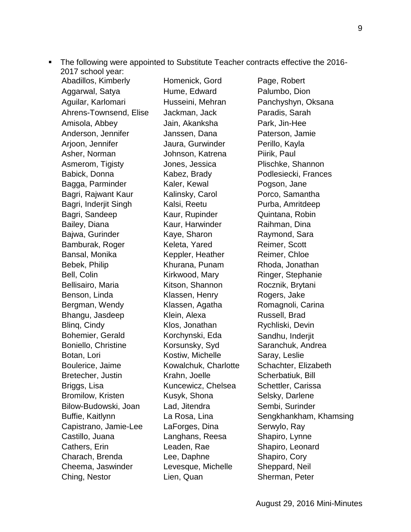The following were appointed to Substitute Teacher contracts effective the 2016- 2017 school year:

Abadillos, Kimberly Aggarwal, Satya Aguilar, Karlomari Ahrens-Townsend, Elise Amisola, Abbey Anderson, Jennifer Arjoon, Jennifer Asher, Norman Asmerom, Tigisty Babick, Donna Bagga, Parminder Bagri, Rajwant Kaur Bagri, Inderjit Singh Bagri, Sandeep Bailey, Diana Bajwa, Gurinder Bamburak, Roger Bansal, Monika Bebek, Philip Bell, Colin Bellisairo, Maria Benson, Linda Bergman, Wendy Bhangu, Jasdeep Blinq, Cindy Bohemier, Gerald Boniello, Christine Botan, Lori Boulerice, Jaime Bretecher, Justin Briggs, Lisa Bromilow, Kristen Bilow-Budowski, Joan Buffie, Kaitlynn Capistrano, Jamie-Lee Castillo, Juana Cathers, Erin Charach, Brenda Cheema, Jaswinder Ching, Nestor

Homenick, Gord Hume, Edward Husseini, Mehran Jackman, Jack Jain, Akanksha Janssen, Dana Jaura, Gurwinder Johnson, Katrena Jones, Jessica Kabez, Brady Kaler, Kewal Kalinsky, Carol Kalsi, Reetu Kaur, Rupinder Kaur, Harwinder Kaye, Sharon Keleta, Yared Keppler, Heather Khurana, Punam Kirkwood, Mary Kitson, Shannon Klassen, Henry Klassen, Agatha Klein, Alexa Klos, Jonathan Korchynski, Eda Korsunsky, Syd Kostiw, Michelle Kowalchuk, Charlotte Krahn, Joelle Kuncewicz, Chelsea Kusyk, Shona Lad, Jitendra La Rosa, Lina LaForges, Dina Langhans, Reesa Leaden, Rae Lee, Daphne Levesque, Michelle Lien, Quan

Page, Robert Palumbo, Dion Panchyshyn, Oksana Paradis, Sarah Park, Jin-Hee Paterson, Jamie Perillo, Kayla Piirik, Paul Plischke, Shannon Podlesiecki, Frances Pogson, Jane Porco, Samantha Purba, Amritdeep Quintana, Robin Raihman, Dina Raymond, Sara Reimer, Scott Reimer, Chloe Rhoda, Jonathan Ringer, Stephanie Rocznik, Brytani Rogers, Jake Romagnoli, Carina Russell, Brad Rychliski, Devin Sandhu, Inderjit Saranchuk, Andrea Saray, Leslie Schachter, Elizabeth Scherbatiuk, Bill Schettler, Carissa Selsky, Darlene Sembi, Surinder Sengkhankham, Khamsing Serwylo, Ray Shapiro, Lynne Shapiro, Leonard Shapiro, Cory Sheppard, Neil Sherman, Peter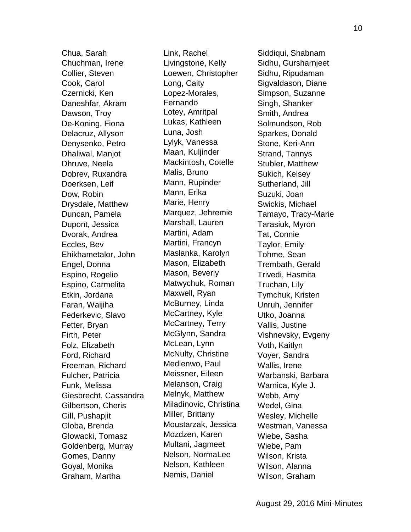Chua, Sarah Chuchman, Irene Collier, Steven Cook, Carol Czernicki, Ken Daneshfar, Akram Dawson, Troy De-Koning, Fiona Delacruz, Allyson Denysenko, Petro Dhaliwal, Manjot Dhruve, Neela Dobrev, Ruxandra Doerksen, Leif Dow, Robin Drysdale, Matthew Duncan, Pamela Dupont, Jessica Dvorak, Andrea Eccles, Bev Ehikhametalor, John Engel, Donna Espino, Rogelio Espino, Carmelita Etkin, Jordana Faran, Waijiha Federkevic, Slavo Fetter, Bryan Firth, Peter Folz, Elizabeth Ford, Richard Freeman, Richard Fulcher, Patricia Funk, Melissa Giesbrecht, Cassandra Gilbertson, Cheris Gill, Pushapjit Globa, Brenda Glowacki, Tomasz Goldenberg, Murray Gomes, Danny Goyal, Monika Graham, Martha

Link, Rachel Livingstone, Kelly Loewen, Christopher Long, Caity Lopez-Morales, Fernando Lotey, Amritpal Lukas, Kathleen Luna, Josh Lylyk, Vanessa Maan, Kuljinder Mackintosh, Cotelle Malis, Bruno Mann, Rupinder Mann, Erika Marie, Henry Marquez, Jehremie Marshall, Lauren Martini, Adam Martini, Francyn Maslanka, Karolyn Mason, Elizabeth Mason, Beverly Matwychuk, Roman Maxwell, Ryan McBurney, Linda McCartney, Kyle McCartney, Terry McGlynn, Sandra McLean, Lynn McNulty, Christine Medienwo, Paul Meissner, Eileen Melanson, Craig Melnyk, Matthew Miladinovic, Christina Miller, Brittany Moustarzak, Jessica Mozdzen, Karen Multani, Jagmeet Nelson, NormaLee Nelson, Kathleen Nemis, Daniel

Siddiqui, Shabnam Sidhu, Gursharnjeet Sidhu, Ripudaman Sigvaldason, Diane Simpson, Suzanne Singh, Shanker Smith, Andrea Solmundson, Rob Sparkes, Donald Stone, Keri-Ann Strand, Tannys Stubler, Matthew Sukich, Kelsey Sutherland, Jill Suzuki, Joan Swickis, Michael Tamayo, Tracy-Marie Tarasiuk, Myron Tat, Connie Taylor, Emily Tohme, Sean Trembath, Gerald Trivedi, Hasmita Truchan, Lily Tymchuk, Kristen Unruh, Jennifer Utko, Joanna Vallis, Justine Vishnevsky, Evgeny Voth, Kaitlyn Voyer, Sandra Wallis, Irene Warbanski, Barbara Warnica, Kyle J. Webb, Amy Wedel, Gina Wesley, Michelle Westman, Vanessa Wiebe, Sasha Wiebe, Pam Wilson, Krista Wilson, Alanna Wilson, Graham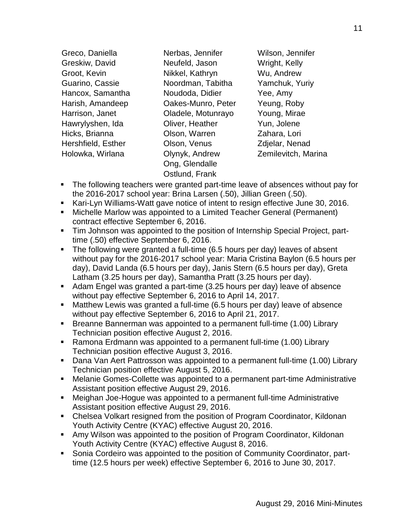| Greco, Daniella    | Nerbas, Jennifer   | Wilson, Jennifer    |
|--------------------|--------------------|---------------------|
| Greskiw, David     | Neufeld, Jason     | Wright, Kelly       |
| Groot, Kevin       | Nikkel, Kathryn    | Wu, Andrew          |
| Guarino, Cassie    | Noordman, Tabitha  | Yamchuk, Yuriy      |
| Hancox, Samantha   | Noudoda, Didier    | Yee, Amy            |
| Harish, Amandeep   | Oakes-Munro, Peter | Yeung, Roby         |
| Harrison, Janet    | Oladele, Motunrayo | Young, Mirae        |
| Hawrylyshen, Ida   | Oliver, Heather    | Yun, Jolene         |
| Hicks, Brianna     | Olson, Warren      | Zahara, Lori        |
| Hershfield, Esther | Olson, Venus       | Zdjelar, Nenad      |
| Holowka, Wirlana   | Olynyk, Andrew     | Zemilevitch, Marina |
|                    | Ong, Glendalle     |                     |

Ostlund, Frank

- The following teachers were granted part-time leave of absences without pay for the 2016-2017 school year: Brina Larsen (.50), Jillian Green (.50).
- Kari-Lyn Williams-Watt gave notice of intent to resign effective June 30, 2016.
- Michelle Marlow was appointed to a Limited Teacher General (Permanent) contract effective September 6, 2016.
- Tim Johnson was appointed to the position of Internship Special Project, parttime (.50) effective September 6, 2016.
- The following were granted a full-time (6.5 hours per day) leaves of absent without pay for the 2016-2017 school year: Maria Cristina Baylon (6.5 hours per day), David Landa (6.5 hours per day), Janis Stern (6.5 hours per day), Greta Latham (3.25 hours per day), Samantha Pratt (3.25 hours per day).
- Adam Engel was granted a part-time (3.25 hours per day) leave of absence without pay effective September 6, 2016 to April 14, 2017.
- Matthew Lewis was granted a full-time (6.5 hours per day) leave of absence without pay effective September 6, 2016 to April 21, 2017.
- Breanne Bannerman was appointed to a permanent full-time (1.00) Library Technician position effective August 2, 2016.
- Ramona Erdmann was appointed to a permanent full-time (1.00) Library Technician position effective August 3, 2016.
- Dana Van Aert Pattrosson was appointed to a permanent full-time (1.00) Library Technician position effective August 5, 2016.
- Melanie Gomes-Collette was appointed to a permanent part-time Administrative Assistant position effective August 29, 2016.
- Meighan Joe-Hogue was appointed to a permanent full-time Administrative Assistant position effective August 29, 2016.
- Chelsea Volkart resigned from the position of Program Coordinator, Kildonan Youth Activity Centre (KYAC) effective August 20, 2016.
- Amy Wilson was appointed to the position of Program Coordinator, Kildonan Youth Activity Centre (KYAC) effective August 8, 2016.
- Sonia Cordeiro was appointed to the position of Community Coordinator, parttime (12.5 hours per week) effective September 6, 2016 to June 30, 2017.